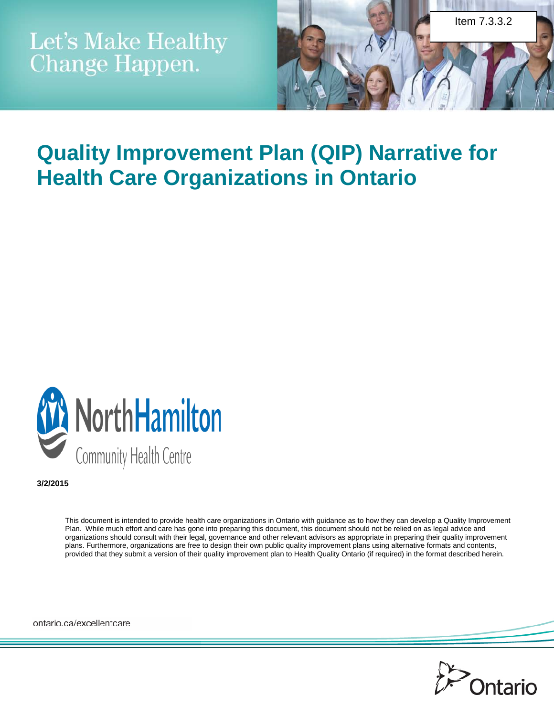

# **Quality Improvement Plan (QIP) Narrative for Health Care Organizations in Ontario**



**3/2/2015**

This document is intended to provide health care organizations in Ontario with guidance as to how they can develop a Quality Improvement Plan. While much effort and care has gone into preparing this document, this document should not be relied on as legal advice and organizations should consult with their legal, governance and other relevant advisors as appropriate in preparing their quality improvement plans. Furthermore, organizations are free to design their own public quality improvement plans using alternative formats and contents, provided that they submit a version of their quality improvement plan to Health Quality Ontario (if required) in the format described herein.

ontario.ca/excellentcare

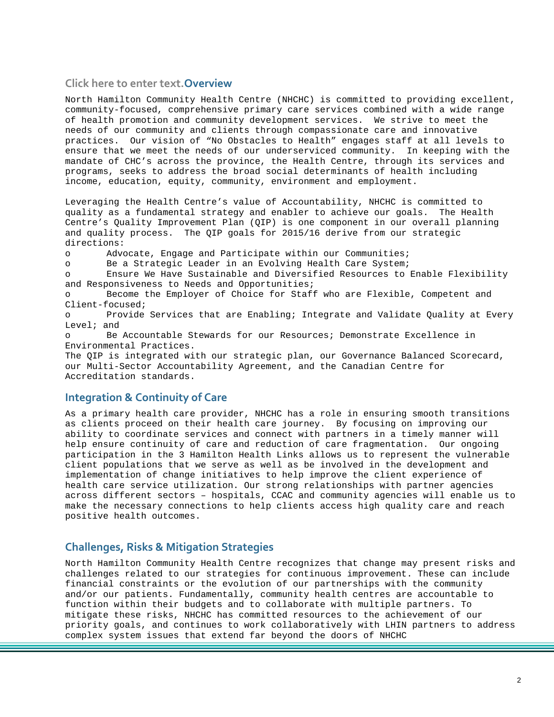#### **Click here to enter text.Overview**

North Hamilton Community Health Centre (NHCHC) is committed to providing excellent, community-focused, comprehensive primary care services combined with a wide range of health promotion and community development services. We strive to meet the needs of our community and clients through compassionate care and innovative practices. Our vision of "No Obstacles to Health" engages staff at all levels to ensure that we meet the needs of our underserviced community. In keeping with the mandate of CHC's across the province, the Health Centre, through its services and programs, seeks to address the broad social determinants of health including income, education, equity, community, environment and employment.

Leveraging the Health Centre's value of Accountability, NHCHC is committed to quality as a fundamental strategy and enabler to achieve our goals. The Health Centre's Quality Improvement Plan (QIP) is one component in our overall planning and quality process. The QIP goals for 2015/16 derive from our strategic directions:

o Advocate, Engage and Participate within our Communities;

o Be a Strategic Leader in an Evolving Health Care System;

o Ensure We Have Sustainable and Diversified Resources to Enable Flexibility and Responsiveness to Needs and Opportunities;

o Become the Employer of Choice for Staff who are Flexible, Competent and Client-focused;

o Provide Services that are Enabling; Integrate and Validate Quality at Every Level; and

o Be Accountable Stewards for our Resources; Demonstrate Excellence in Environmental Practices.

The QIP is integrated with our strategic plan, our Governance Balanced Scorecard, our Multi-Sector Accountability Agreement, and the Canadian Centre for Accreditation standards.

## **Integration & Continuity of Care**

As a primary health care provider, NHCHC has a role in ensuring smooth transitions as clients proceed on their health care journey. By focusing on improving our ability to coordinate services and connect with partners in a timely manner will help ensure continuity of care and reduction of care fragmentation. Our ongoing participation in the 3 Hamilton Health Links allows us to represent the vulnerable client populations that we serve as well as be involved in the development and implementation of change initiatives to help improve the client experience of health care service utilization. Our strong relationships with partner agencies across different sectors – hospitals, CCAC and community agencies will enable us to make the necessary connections to help clients access high quality care and reach positive health outcomes.

## **Challenges, Risks & Mitigation Strategies**

North Hamilton Community Health Centre recognizes that change may present risks and challenges related to our strategies for continuous improvement. These can include financial constraints or the evolution of our partnerships with the community and/or our patients. Fundamentally, community health centres are accountable to function within their budgets and to collaborate with multiple partners. To mitigate these risks, NHCHC has committed resources to the achievement of our priority goals, and continues to work collaboratively with LHIN partners to address complex system issues that extend far beyond the doors of NHCHC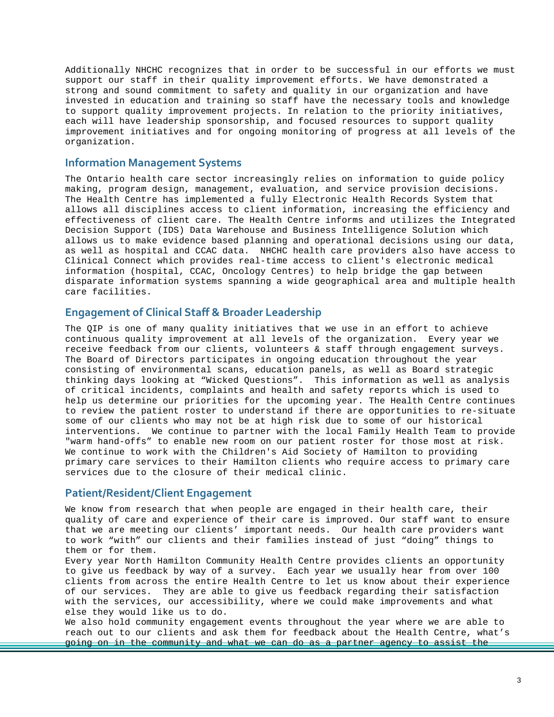Additionally NHCHC recognizes that in order to be successful in our efforts we must support our staff in their quality improvement efforts. We have demonstrated a strong and sound commitment to safety and quality in our organization and have invested in education and training so staff have the necessary tools and knowledge to support quality improvement projects. In relation to the priority initiatives, each will have leadership sponsorship, and focused resources to support quality improvement initiatives and for ongoing monitoring of progress at all levels of the organization.

### **Information Management Systems**

The Ontario health care sector increasingly relies on information to guide policy making, program design, management, evaluation, and service provision decisions. The Health Centre has implemented a fully Electronic Health Records System that allows all disciplines access to client information, increasing the efficiency and effectiveness of client care. The Health Centre informs and utilizes the Integrated Decision Support (IDS) Data Warehouse and Business Intelligence Solution which allows us to make evidence based planning and operational decisions using our data, as well as hospital and CCAC data. NHCHC health care providers also have access to Clinical Connect which provides real-time access to client's electronic medical information (hospital, CCAC, Oncology Centres) to help bridge the gap between disparate information systems spanning a wide geographical area and multiple health care facilities.

## **Engagement of Clinical Staff & Broader Leadership**

The QIP is one of many quality initiatives that we use in an effort to achieve continuous quality improvement at all levels of the organization. Every year we receive feedback from our clients, volunteers & staff through engagement surveys. The Board of Directors participates in ongoing education throughout the year consisting of environmental scans, education panels, as well as Board strategic thinking days looking at "Wicked Questions". This information as well as analysis of critical incidents, complaints and health and safety reports which is used to help us determine our priorities for the upcoming year. The Health Centre continues to review the patient roster to understand if there are opportunities to re-situate some of our clients who may not be at high risk due to some of our historical interventions. We continue to partner with the local Family Health Team to provide "warm hand-offs" to enable new room on our patient roster for those most at risk. We continue to work with the Children's Aid Society of Hamilton to providing primary care services to their Hamilton clients who require access to primary care services due to the closure of their medical clinic.

#### **Patient/Resident/Client Engagement**

We know from research that when people are engaged in their health care, their quality of care and experience of their care is improved. Our staff want to ensure that we are meeting our clients' important needs. Our health care providers want to work "with" our clients and their families instead of just "doing" things to them or for them.

Every year North Hamilton Community Health Centre provides clients an opportunity to give us feedback by way of a survey. Each year we usually hear from over 100 clients from across the entire Health Centre to let us know about their experience of our services. They are able to give us feedback regarding their satisfaction with the services, our accessibility, where we could make improvements and what else they would like us to do.

We also hold community engagement events throughout the year where we are able to reach out to our clients and ask them for feedback about the Health Centre, what's going on in the community and what we can do as a partner agency to assist the